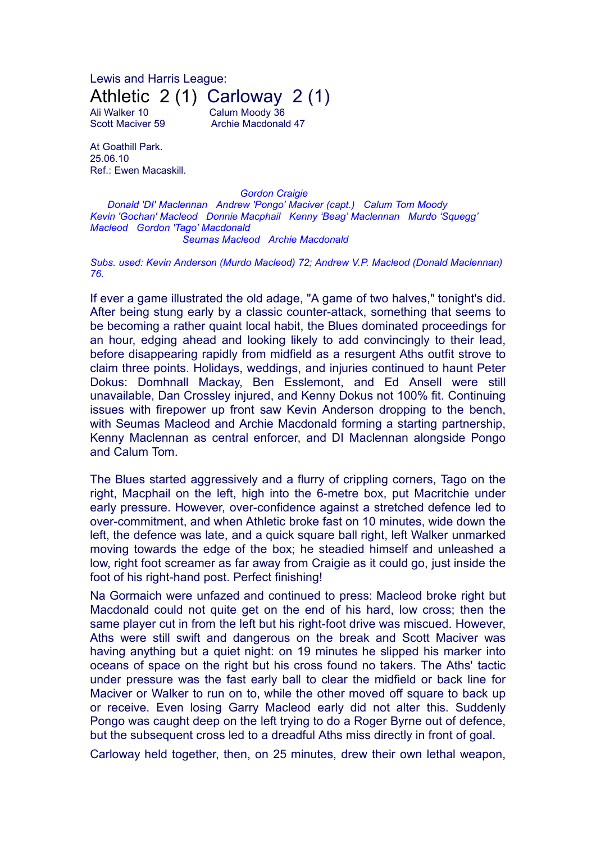Lewis and Harris League: Athletic 2 (1) Carloway 2 (1)

Ali Walker 10 Calum Moody 36 Scott Maciver 59 Archie Macdonald 47

At Goathill Park. 25.06.10 Ref.: Ewen Macaskill.

*Gordon Craigie Donald 'DI' Maclennan Andrew 'Pongo' Maciver (capt.) Calum Tom Moody Kevin 'Gochan' Macleod Donnie Macphail Kenny 'Beag' Maclennan Murdo 'Squegg' Macleod Gordon 'Tago' Macdonald Seumas Macleod Archie Macdonald*

*Subs. used: Kevin Anderson (Murdo Macleod) 72; Andrew V.P. Macleod (Donald Maclennan) 76.*

If ever a game illustrated the old adage, "A game of two halves," tonight's did. After being stung early by a classic counter-attack, something that seems to be becoming a rather quaint local habit, the Blues dominated proceedings for an hour, edging ahead and looking likely to add convincingly to their lead, before disappearing rapidly from midfield as a resurgent Aths outfit strove to claim three points. Holidays, weddings, and injuries continued to haunt Peter Dokus: Domhnall Mackay, Ben Esslemont, and Ed Ansell were still unavailable, Dan Crossley injured, and Kenny Dokus not 100% fit. Continuing issues with firepower up front saw Kevin Anderson dropping to the bench, with Seumas Macleod and Archie Macdonald forming a starting partnership, Kenny Maclennan as central enforcer, and DI Maclennan alongside Pongo and Calum Tom.

The Blues started aggressively and a flurry of crippling corners, Tago on the right, Macphail on the left, high into the 6-metre box, put Macritchie under early pressure. However, over-confidence against a stretched defence led to over-commitment, and when Athletic broke fast on 10 minutes, wide down the left, the defence was late, and a quick square ball right, left Walker unmarked moving towards the edge of the box; he steadied himself and unleashed a low, right foot screamer as far away from Craigie as it could go, just inside the foot of his right-hand post. Perfect finishing!

Na Gormaich were unfazed and continued to press: Macleod broke right but Macdonald could not quite get on the end of his hard, low cross; then the same player cut in from the left but his right-foot drive was miscued. However, Aths were still swift and dangerous on the break and Scott Maciver was having anything but a quiet night: on 19 minutes he slipped his marker into oceans of space on the right but his cross found no takers. The Aths' tactic under pressure was the fast early ball to clear the midfield or back line for Maciver or Walker to run on to, while the other moved off square to back up or receive. Even losing Garry Macleod early did not alter this. Suddenly Pongo was caught deep on the left trying to do a Roger Byrne out of defence, but the subsequent cross led to a dreadful Aths miss directly in front of goal.

Carloway held together, then, on 25 minutes, drew their own lethal weapon,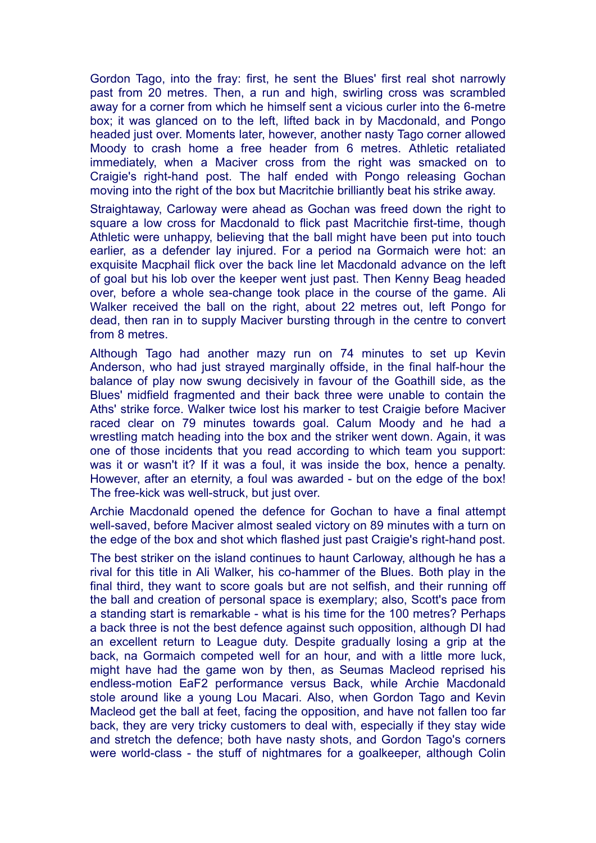Gordon Tago, into the fray: first, he sent the Blues' first real shot narrowly past from 20 metres. Then, a run and high, swirling cross was scrambled away for a corner from which he himself sent a vicious curler into the 6-metre box; it was glanced on to the left, lifted back in by Macdonald, and Pongo headed just over. Moments later, however, another nasty Tago corner allowed Moody to crash home a free header from 6 metres. Athletic retaliated immediately, when a Maciver cross from the right was smacked on to Craigie's right-hand post. The half ended with Pongo releasing Gochan moving into the right of the box but Macritchie brilliantly beat his strike away.

Straightaway, Carloway were ahead as Gochan was freed down the right to square a low cross for Macdonald to flick past Macritchie first-time, though Athletic were unhappy, believing that the ball might have been put into touch earlier, as a defender lay injured. For a period na Gormaich were hot: an exquisite Macphail flick over the back line let Macdonald advance on the left of goal but his lob over the keeper went just past. Then Kenny Beag headed over, before a whole sea-change took place in the course of the game. Ali Walker received the ball on the right, about 22 metres out, left Pongo for dead, then ran in to supply Maciver bursting through in the centre to convert from 8 metres.

Although Tago had another mazy run on 74 minutes to set up Kevin Anderson, who had just strayed marginally offside, in the final half-hour the balance of play now swung decisively in favour of the Goathill side, as the Blues' midfield fragmented and their back three were unable to contain the Aths' strike force. Walker twice lost his marker to test Craigie before Maciver raced clear on 79 minutes towards goal. Calum Moody and he had a wrestling match heading into the box and the striker went down. Again, it was one of those incidents that you read according to which team you support: was it or wasn't it? If it was a foul, it was inside the box, hence a penalty. However, after an eternity, a foul was awarded - but on the edge of the box! The free-kick was well-struck, but just over.

Archie Macdonald opened the defence for Gochan to have a final attempt well-saved, before Maciver almost sealed victory on 89 minutes with a turn on the edge of the box and shot which flashed just past Craigie's right-hand post.

The best striker on the island continues to haunt Carloway, although he has a rival for this title in Ali Walker, his co-hammer of the Blues. Both play in the final third, they want to score goals but are not selfish, and their running off the ball and creation of personal space is exemplary; also, Scott's pace from a standing start is remarkable - what is his time for the 100 metres? Perhaps a back three is not the best defence against such opposition, although DI had an excellent return to League duty. Despite gradually losing a grip at the back, na Gormaich competed well for an hour, and with a little more luck, might have had the game won by then, as Seumas Macleod reprised his endless-motion EaF2 performance versus Back, while Archie Macdonald stole around like a young Lou Macari. Also, when Gordon Tago and Kevin Macleod get the ball at feet, facing the opposition, and have not fallen too far back, they are very tricky customers to deal with, especially if they stay wide and stretch the defence; both have nasty shots, and Gordon Tago's corners were world-class - the stuff of nightmares for a goalkeeper, although Colin